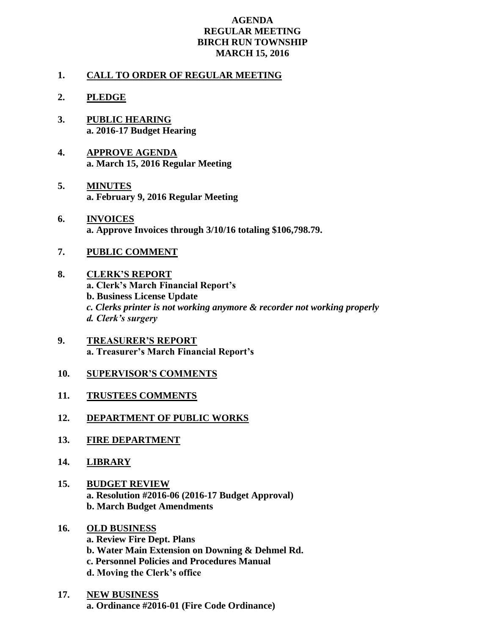## **AGENDA REGULAR MEETING BIRCH RUN TOWNSHIP MARCH 15, 2016**

## **1. CALL TO ORDER OF REGULAR MEETING**

- **2. PLEDGE**
- **3. PUBLIC HEARING a. 2016-17 Budget Hearing**
- **4. APPROVE AGENDA a. March 15, 2016 Regular Meeting**
- **5. MINUTES a. February 9, 2016 Regular Meeting**
- **6. INVOICES a. Approve Invoices through 3/10/16 totaling \$106,798.79.**
- **7. PUBLIC COMMENT**
- **8. CLERK'S REPORT a. Clerk's March Financial Report's b. Business License Update** *c. Clerks printer is not working anymore & recorder not working properly d. Clerk's surgery*
- **9. TREASURER'S REPORT a. Treasurer's March Financial Report's**
- **10. SUPERVISOR'S COMMENTS**
- **11. TRUSTEES COMMENTS**
- **12. DEPARTMENT OF PUBLIC WORKS**
- **13. FIRE DEPARTMENT**
- **14. LIBRARY**
- **15. BUDGET REVIEW a. Resolution #2016-06 (2016-17 Budget Approval) b. March Budget Amendments**

## **16. OLD BUSINESS a. Review Fire Dept. Plans b. Water Main Extension on Downing & Dehmel Rd. c. Personnel Policies and Procedures Manual d. Moving the Clerk's office**

**17. NEW BUSINESS a. Ordinance #2016-01 (Fire Code Ordinance)**